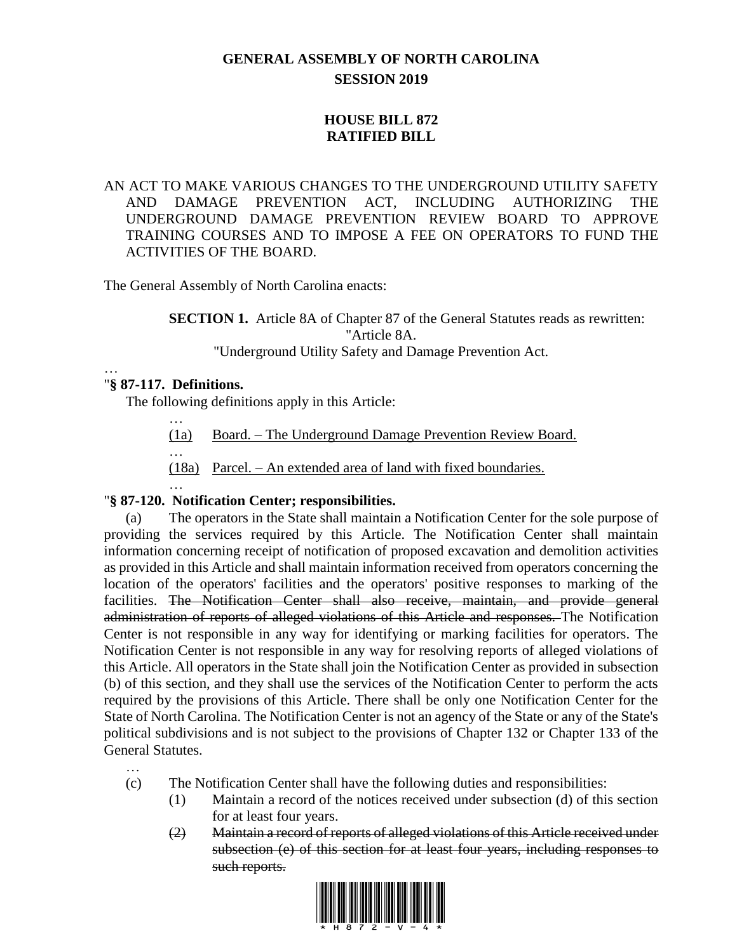# **GENERAL ASSEMBLY OF NORTH CAROLINA SESSION 2019**

## **HOUSE BILL 872 RATIFIED BILL**

### AN ACT TO MAKE VARIOUS CHANGES TO THE UNDERGROUND UTILITY SAFETY AND DAMAGE PREVENTION ACT, INCLUDING AUTHORIZING THE UNDERGROUND DAMAGE PREVENTION REVIEW BOARD TO APPROVE TRAINING COURSES AND TO IMPOSE A FEE ON OPERATORS TO FUND THE ACTIVITIES OF THE BOARD.

The General Assembly of North Carolina enacts:

**SECTION 1.** Article 8A of Chapter 87 of the General Statutes reads as rewritten: "Article 8A.

"Underground Utility Safety and Damage Prevention Act.

#### … "**§ 87-117. Definitions.**

The following definitions apply in this Article:

…

…

- (1a) Board. The Underground Damage Prevention Review Board.
- (18a) Parcel. An extended area of land with fixed boundaries.

#### … "**§ 87-120. Notification Center; responsibilities.**

(a) The operators in the State shall maintain a Notification Center for the sole purpose of providing the services required by this Article. The Notification Center shall maintain information concerning receipt of notification of proposed excavation and demolition activities as provided in this Article and shall maintain information received from operators concerning the location of the operators' facilities and the operators' positive responses to marking of the facilities. The Notification Center shall also receive, maintain, and provide general administration of reports of alleged violations of this Article and responses. The Notification Center is not responsible in any way for identifying or marking facilities for operators. The Notification Center is not responsible in any way for resolving reports of alleged violations of this Article. All operators in the State shall join the Notification Center as provided in subsection (b) of this section, and they shall use the services of the Notification Center to perform the acts required by the provisions of this Article. There shall be only one Notification Center for the State of North Carolina. The Notification Center is not an agency of the State or any of the State's political subdivisions and is not subject to the provisions of Chapter 132 or Chapter 133 of the General Statutes.

- … (c) The Notification Center shall have the following duties and responsibilities:
	- (1) Maintain a record of the notices received under subsection (d) of this section for at least four years.
	- (2) Maintain a record of reports of alleged violations of this Article received under subsection (e) of this section for at least four years, including responses to such reports.

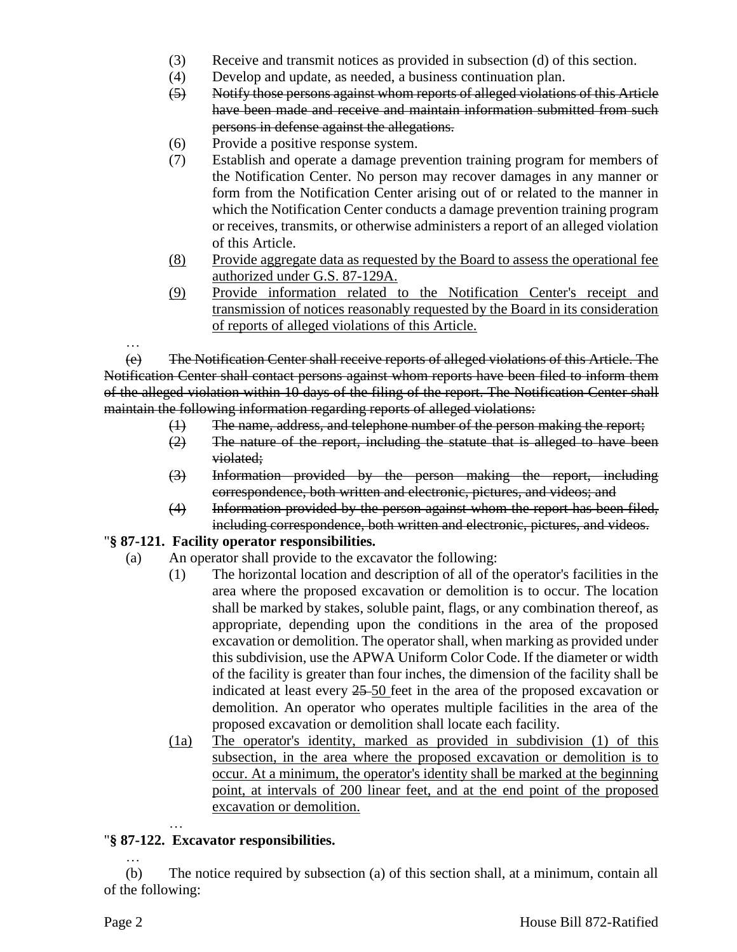- (3) Receive and transmit notices as provided in subsection (d) of this section.
- (4) Develop and update, as needed, a business continuation plan.
- (5) Notify those persons against whom reports of alleged violations of this Article have been made and receive and maintain information submitted from such persons in defense against the allegations.
- (6) Provide a positive response system.
- (7) Establish and operate a damage prevention training program for members of the Notification Center. No person may recover damages in any manner or form from the Notification Center arising out of or related to the manner in which the Notification Center conducts a damage prevention training program or receives, transmits, or otherwise administers a report of an alleged violation of this Article.
- (8) Provide aggregate data as requested by the Board to assess the operational fee authorized under G.S. 87-129A.
- (9) Provide information related to the Notification Center's receipt and transmission of notices reasonably requested by the Board in its consideration of reports of alleged violations of this Article.

(e) The Notification Center shall receive reports of alleged violations of this Article. The Notification Center shall contact persons against whom reports have been filed to inform them of the alleged violation within 10 days of the filing of the report. The Notification Center shall maintain the following information regarding reports of alleged violations:

- (1) The name, address, and telephone number of the person making the report;
- $(2)$  The nature of the report, including the statute that is alleged to have been violated;
- (3) Information provided by the person making the report, including correspondence, both written and electronic, pictures, and videos; and
- (4) Information provided by the person against whom the report has been filed, including correspondence, both written and electronic, pictures, and videos.

### "**§ 87-121. Facility operator responsibilities.**

- (a) An operator shall provide to the excavator the following:
	- (1) The horizontal location and description of all of the operator's facilities in the area where the proposed excavation or demolition is to occur. The location shall be marked by stakes, soluble paint, flags, or any combination thereof, as appropriate, depending upon the conditions in the area of the proposed excavation or demolition. The operator shall, when marking as provided under this subdivision, use the APWA Uniform Color Code. If the diameter or width of the facility is greater than four inches, the dimension of the facility shall be indicated at least every 25 50 feet in the area of the proposed excavation or demolition. An operator who operates multiple facilities in the area of the proposed excavation or demolition shall locate each facility.
	- (1a) The operator's identity, marked as provided in subdivision (1) of this subsection, in the area where the proposed excavation or demolition is to occur. At a minimum, the operator's identity shall be marked at the beginning point, at intervals of 200 linear feet, and at the end point of the proposed excavation or demolition.

### … "**§ 87-122. Excavator responsibilities.**

(b) The notice required by subsection (a) of this section shall, at a minimum, contain all of the following:

…

…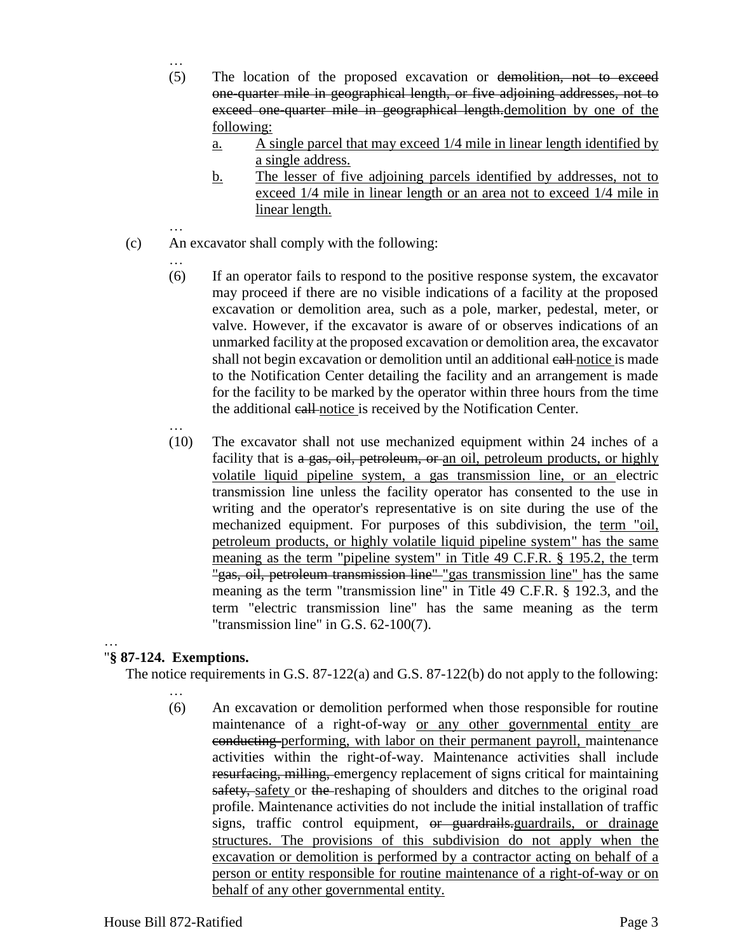- (5) The location of the proposed excavation or demolition, not to exceed one-quarter mile in geographical length, or five adjoining addresses, not to exceed one-quarter mile in geographical length.demolition by one of the following:
	- a. A single parcel that may exceed 1/4 mile in linear length identified by a single address.
	- b. The lesser of five adjoining parcels identified by addresses, not to exceed 1/4 mile in linear length or an area not to exceed 1/4 mile in linear length.
- … (c) An excavator shall comply with the following:
	- …

…

- (6) If an operator fails to respond to the positive response system, the excavator may proceed if there are no visible indications of a facility at the proposed excavation or demolition area, such as a pole, marker, pedestal, meter, or valve. However, if the excavator is aware of or observes indications of an unmarked facility at the proposed excavation or demolition area, the excavator shall not begin excavation or demolition until an additional call notice is made to the Notification Center detailing the facility and an arrangement is made for the facility to be marked by the operator within three hours from the time the additional call notice is received by the Notification Center.
- … (10) The excavator shall not use mechanized equipment within 24 inches of a facility that is a gas, oil, petroleum, or an oil, petroleum products, or highly volatile liquid pipeline system, a gas transmission line, or an electric transmission line unless the facility operator has consented to the use in writing and the operator's representative is on site during the use of the mechanized equipment. For purposes of this subdivision, the term "oil, petroleum products, or highly volatile liquid pipeline system" has the same meaning as the term "pipeline system" in Title 49 C.F.R. § 195.2, the term "gas, oil, petroleum transmission line" "gas transmission line" has the same meaning as the term "transmission line" in Title 49 C.F.R. § 192.3, and the term "electric transmission line" has the same meaning as the term "transmission line" in G.S. 62-100(7).

#### … "**§ 87-124. Exemptions.**

The notice requirements in G.S. 87-122(a) and G.S. 87-122(b) do not apply to the following:

- …
- (6) An excavation or demolition performed when those responsible for routine maintenance of a right-of-way or any other governmental entity are conducting performing, with labor on their permanent payroll, maintenance activities within the right-of-way. Maintenance activities shall include resurfacing, milling, emergency replacement of signs critical for maintaining safety, safety or the reshaping of shoulders and ditches to the original road profile. Maintenance activities do not include the initial installation of traffic signs, traffic control equipment, or guardrails.guardrails, or drainage structures. The provisions of this subdivision do not apply when the excavation or demolition is performed by a contractor acting on behalf of a person or entity responsible for routine maintenance of a right-of-way or on behalf of any other governmental entity.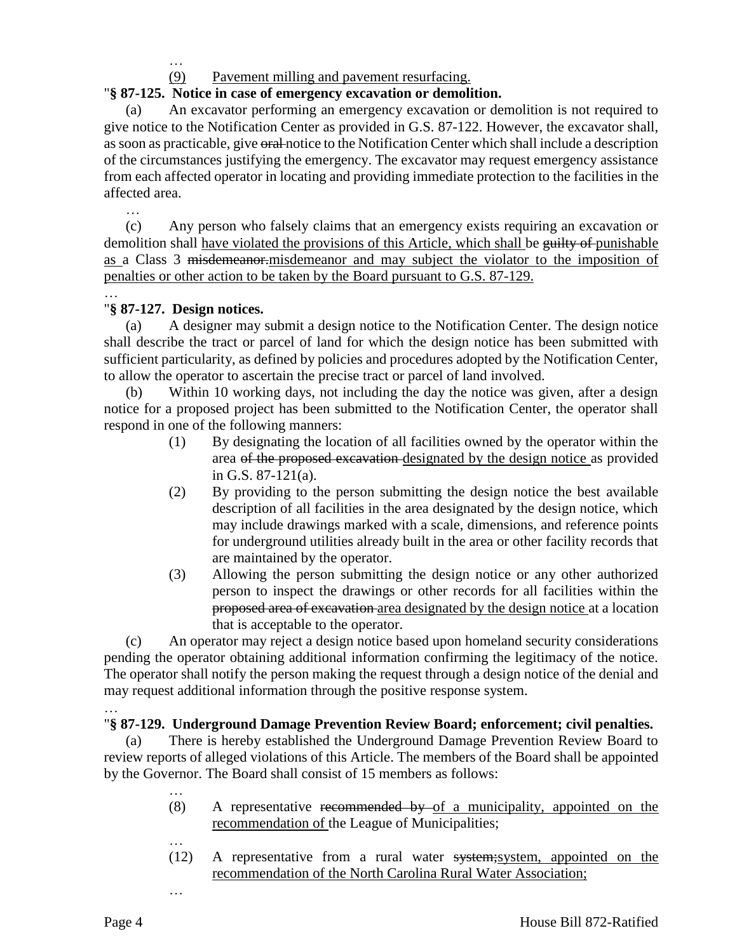…

## (9) Pavement milling and pavement resurfacing.

### "**§ 87-125. Notice in case of emergency excavation or demolition.**

(a) An excavator performing an emergency excavation or demolition is not required to give notice to the Notification Center as provided in G.S. 87-122. However, the excavator shall, as soon as practicable, give oral notice to the Notification Center which shall include a description of the circumstances justifying the emergency. The excavator may request emergency assistance from each affected operator in locating and providing immediate protection to the facilities in the affected area.

… (c) Any person who falsely claims that an emergency exists requiring an excavation or demolition shall have violated the provisions of this Article, which shall be guilty of punishable as a Class 3 misdemeanor.misdemeanor and may subject the violator to the imposition of penalties or other action to be taken by the Board pursuant to G.S. 87-129.

#### … "**§ 87-127. Design notices.**

(a) A designer may submit a design notice to the Notification Center. The design notice shall describe the tract or parcel of land for which the design notice has been submitted with sufficient particularity, as defined by policies and procedures adopted by the Notification Center, to allow the operator to ascertain the precise tract or parcel of land involved.

(b) Within 10 working days, not including the day the notice was given, after a design notice for a proposed project has been submitted to the Notification Center, the operator shall respond in one of the following manners:

- (1) By designating the location of all facilities owned by the operator within the area of the proposed excavation designated by the design notice as provided in G.S. 87-121(a).
- (2) By providing to the person submitting the design notice the best available description of all facilities in the area designated by the design notice, which may include drawings marked with a scale, dimensions, and reference points for underground utilities already built in the area or other facility records that are maintained by the operator.
- (3) Allowing the person submitting the design notice or any other authorized person to inspect the drawings or other records for all facilities within the proposed area of excavation area designated by the design notice at a location that is acceptable to the operator.

(c) An operator may reject a design notice based upon homeland security considerations pending the operator obtaining additional information confirming the legitimacy of the notice. The operator shall notify the person making the request through a design notice of the denial and may request additional information through the positive response system.

#### … "**§ 87-129. Underground Damage Prevention Review Board; enforcement; civil penalties.**

(a) There is hereby established the Underground Damage Prevention Review Board to review reports of alleged violations of this Article. The members of the Board shall be appointed by the Governor. The Board shall consist of 15 members as follows:

- (8) A representative recommended by of a municipality, appointed on the recommendation of the League of Municipalities;
- $(12)$  A representative from a rural water system; system, appointed on the recommendation of the North Carolina Rural Water Association;

…

…

…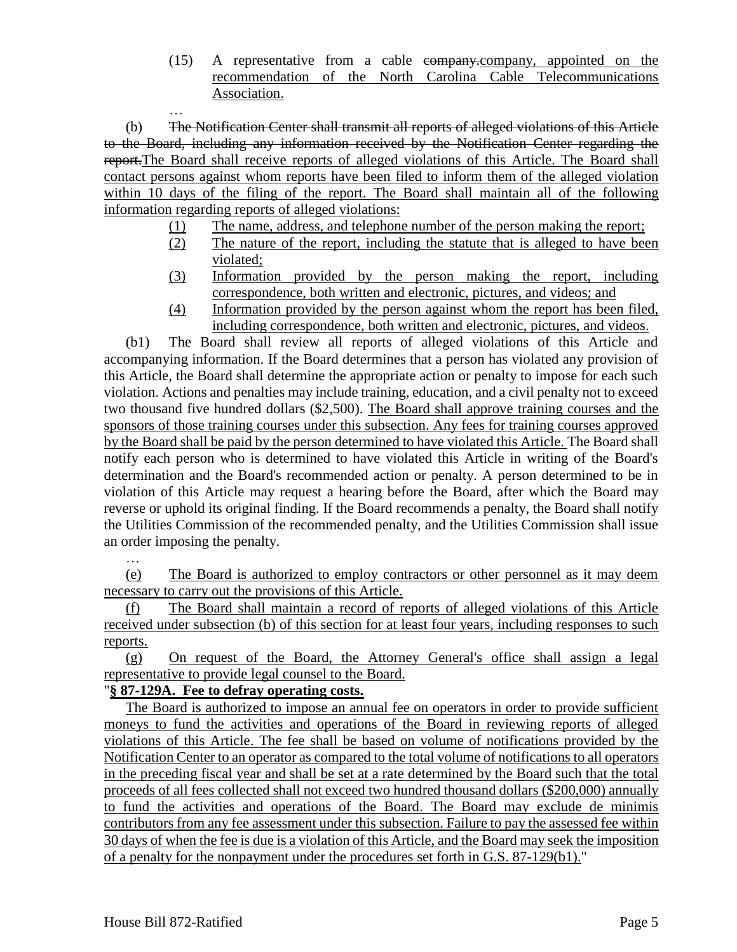(15) A representative from a cable company.company, appointed on the recommendation of the North Carolina Cable Telecommunications Association.

(b) The Notification Center shall transmit all reports of alleged violations of this Article to the Board, including any information received by the Notification Center regarding the report.The Board shall receive reports of alleged violations of this Article. The Board shall contact persons against whom reports have been filed to inform them of the alleged violation within 10 days of the filing of the report. The Board shall maintain all of the following information regarding reports of alleged violations:

- (1) The name, address, and telephone number of the person making the report;
- (2) The nature of the report, including the statute that is alleged to have been violated;
- (3) Information provided by the person making the report, including correspondence, both written and electronic, pictures, and videos; and
- (4) Information provided by the person against whom the report has been filed, including correspondence, both written and electronic, pictures, and videos.

(b1) The Board shall review all reports of alleged violations of this Article and accompanying information. If the Board determines that a person has violated any provision of this Article, the Board shall determine the appropriate action or penalty to impose for each such violation. Actions and penalties may include training, education, and a civil penalty not to exceed two thousand five hundred dollars (\$2,500). The Board shall approve training courses and the sponsors of those training courses under this subsection. Any fees for training courses approved by the Board shall be paid by the person determined to have violated this Article. The Board shall notify each person who is determined to have violated this Article in writing of the Board's determination and the Board's recommended action or penalty. A person determined to be in violation of this Article may request a hearing before the Board, after which the Board may reverse or uphold its original finding. If the Board recommends a penalty, the Board shall notify the Utilities Commission of the recommended penalty, and the Utilities Commission shall issue an order imposing the penalty.

…

…

(e) The Board is authorized to employ contractors or other personnel as it may deem necessary to carry out the provisions of this Article.

(f) The Board shall maintain a record of reports of alleged violations of this Article received under subsection (b) of this section for at least four years, including responses to such reports.

(g) On request of the Board, the Attorney General's office shall assign a legal representative to provide legal counsel to the Board.

## "**§ 87-129A. Fee to defray operating costs.**

The Board is authorized to impose an <u>annual fee on operators in order to provide sufficient</u> moneys to fund the activities and operations of the Board in reviewing reports of alleged violations of this Article. The fee shall be based on volume of notifications provided by the Notification Center to an operator as compared to the total volume of notifications to all operators in the preceding fiscal year and shall be set at a rate determined by the Board such that the total proceeds of all fees collected shall not exceed two hundred thousand dollars (\$200,000) annually to fund the activities and operations of the Board. The Board may exclude de minimis contributors from any fee assessment under this subsection. Failure to pay the assessed fee within 30 days of when the fee is due is a violation of this Article, and the Board may seek the imposition of a penalty for the nonpayment under the procedures set forth in G.S. 87-129(b1)."